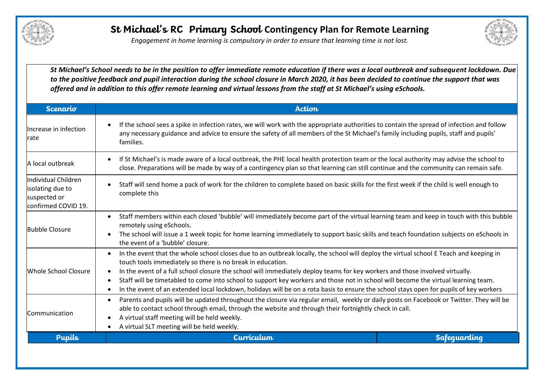

*Engagement in home learning is compulsory in order to ensure that learning time is not lost.*



*St Michael's School needs to be in the position to offer immediate remote education if there was a local outbreak and subsequent lockdown. Due to the positive feedback and pupil interaction during the school closure in March 2020, it has been decided to continue the support that was offered and in addition to this offer remote learning and virtual lessons from the staff at St Michael's using eSchools.* 

| <b>Scenario</b>                                                                 | <b>Action</b>                                                                                                                                                                                                                                                                                                                                                                                                                                                                                                                                                                                                                                                            |  |
|---------------------------------------------------------------------------------|--------------------------------------------------------------------------------------------------------------------------------------------------------------------------------------------------------------------------------------------------------------------------------------------------------------------------------------------------------------------------------------------------------------------------------------------------------------------------------------------------------------------------------------------------------------------------------------------------------------------------------------------------------------------------|--|
| Increase in infection<br>rate                                                   | If the school sees a spike in infection rates, we will work with the appropriate authorities to contain the spread of infection and follow<br>any necessary guidance and advice to ensure the safety of all members of the St Michael's family including pupils, staff and pupils'<br>families.                                                                                                                                                                                                                                                                                                                                                                          |  |
| A local outbreak                                                                | If St Michael's is made aware of a local outbreak, the PHE local health protection team or the local authority may advise the school to<br>$\bullet$<br>close. Preparations will be made by way of a contingency plan so that learning can still continue and the community can remain safe.                                                                                                                                                                                                                                                                                                                                                                             |  |
| lIndividual Children<br>isolating due to<br>suspected or<br>confirmed COVID 19. | Staff will send home a pack of work for the children to complete based on basic skills for the first week if the child is well enough to<br>complete this                                                                                                                                                                                                                                                                                                                                                                                                                                                                                                                |  |
| <b>Bubble Closure</b>                                                           | Staff members within each closed 'bubble' will immediately become part of the virtual learning team and keep in touch with this bubble<br>$\bullet$<br>remotely using eSchools.<br>The school will issue a 1 week topic for home learning immediately to support basic skills and teach foundation subjects on eSchools in<br>the event of a 'bubble' closure.                                                                                                                                                                                                                                                                                                           |  |
| Whole School Closure                                                            | In the event that the whole school closes due to an outbreak locally, the school will deploy the virtual school E Teach and keeping in<br>$\bullet$<br>touch tools immediately so there is no break in education.<br>In the event of a full school closure the school will immediately deploy teams for key workers and those involved virtually.<br>$\bullet$<br>Staff will be timetabled to come into school to support key workers and those not in school will become the virtual learning team.<br>$\bullet$<br>In the event of an extended local lockdown, holidays will be on a rota basis to ensure the school stays open for pupils of key workers<br>$\bullet$ |  |
| <b>Communication</b>                                                            | Parents and pupils will be updated throughout the closure via regular email, weekly or daily posts on Facebook or Twitter. They will be<br>$\bullet$<br>able to contact school through email, through the website and through their fortnightly check in call.<br>A virtual staff meeting will be held weekly.<br>$\bullet$<br>A virtual SLT meeting will be held weekly.<br>$\bullet$                                                                                                                                                                                                                                                                                   |  |
| <b>Pupils</b>                                                                   | Curriculum<br><b>Safequarding</b>                                                                                                                                                                                                                                                                                                                                                                                                                                                                                                                                                                                                                                        |  |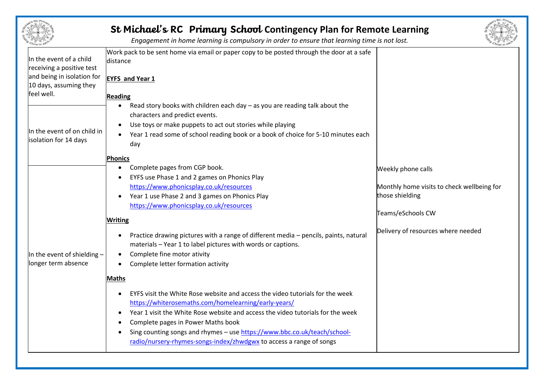|                                                                                                                            | St Michael's RC Primary School Contingency Plan for Remote Learning<br>Engagement in home learning is compulsory in order to ensure that learning time is not lost.                                                                                                                                                                                                                                                                                                                                                    |                                                                                                                                                |
|----------------------------------------------------------------------------------------------------------------------------|------------------------------------------------------------------------------------------------------------------------------------------------------------------------------------------------------------------------------------------------------------------------------------------------------------------------------------------------------------------------------------------------------------------------------------------------------------------------------------------------------------------------|------------------------------------------------------------------------------------------------------------------------------------------------|
| In the event of a child<br>receiving a positive test<br>and being in isolation for<br>10 days, assuming they<br>feel well. | Work pack to be sent home via email or paper copy to be posted through the door at a safe<br>distance<br><b>EYFS and Year 1</b><br><b>Reading</b>                                                                                                                                                                                                                                                                                                                                                                      |                                                                                                                                                |
| In the event of on child in<br>isolation for 14 days                                                                       | Read story books with children each day $-$ as you are reading talk about the<br>$\bullet$<br>characters and predict events.<br>Use toys or make puppets to act out stories while playing<br>Year 1 read some of school reading book or a book of choice for 5-10 minutes each<br>day                                                                                                                                                                                                                                  |                                                                                                                                                |
| In the event of shielding -<br>longer term absence                                                                         | Phonics<br>Complete pages from CGP book.<br>$\bullet$<br>EYFS use Phase 1 and 2 games on Phonics Play<br>https://www.phonicsplay.co.uk/resources<br>Year 1 use Phase 2 and 3 games on Phonics Play<br>https://www.phonicsplay.co.uk/resources<br><b>Writing</b><br>Practice drawing pictures with a range of different media - pencils, paints, natural<br>materials - Year 1 to label pictures with words or captions.<br>Complete fine motor ativity<br>$\bullet$<br>Complete letter formation activity<br>$\bullet$ | Weekly phone calls<br>Monthly home visits to check wellbeing for<br>those shielding<br>Teams/eSchools CW<br>Delivery of resources where needed |
|                                                                                                                            | <b>Maths</b><br>EYFS visit the White Rose website and access the video tutorials for the week<br>https://whiterosemaths.com/homelearning/early-years/<br>Year 1 visit the White Rose website and access the video tutorials for the week<br>Complete pages in Power Maths book<br>Sing counting songs and rhymes - use https://www.bbc.co.uk/teach/school-<br>radio/nursery-rhymes-songs-index/zhwdgwx to access a range of songs                                                                                      |                                                                                                                                                |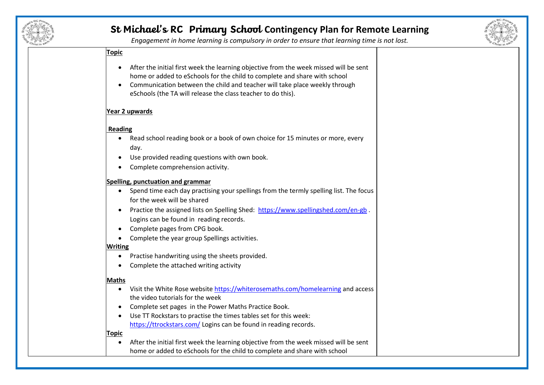



*Engagement in home learning is compulsory in order to ensure that learning time is not lost.*

### **Topic**

- After the initial first week the learning objective from the week missed will be sent home or added to eSchools for the child to complete and share with school
- Communication between the child and teacher will take place weekly through eSchools (the TA will release the class teacher to do this).

#### **Year 2 upwards**

#### **Reading**

- Read school reading book or a book of own choice for 15 minutes or more, every day.
- Use provided reading questions with own book.
- Complete comprehension activity.

#### **Spelling, punctuation and grammar**

- Spend time each day practising your spellings from the termly spelling list. The focus for the week will be shared
- Practice the assigned lists on Spelling Shed: <https://www.spellingshed.com/en-gb>. Logins can be found in reading records.
- Complete pages from CPG book.
- Complete the year group Spellings activities.

### **Writing**

- Practise handwriting using the sheets provided.
- Complete the attached writing activity

### **Maths**

- Visit the White Rose websit[e https://whiterosemaths.com/homelearning](https://whiterosemaths.com/homelearning) and access the video tutorials for the week
- Complete set pages in the Power Maths Practice Book.
- Use TT Rockstars to practise the times tables set for this week: <https://ttrockstars.com/> Logins can be found in reading records.

#### **Topic**

• After the initial first week the learning objective from the week missed will be sent home or added to eSchools for the child to complete and share with school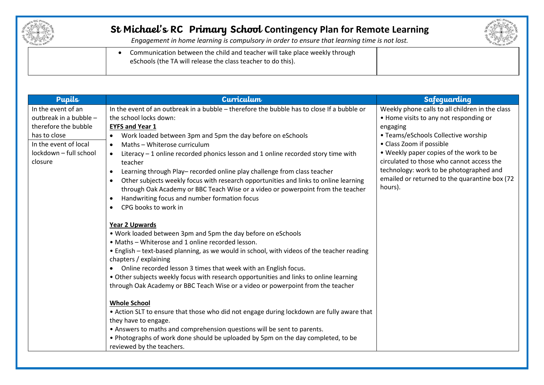



*Engagement in home learning is compulsory in order to ensure that learning time is not lost.*

• Communication between the child and teacher will take place weekly through eSchools (the TA will release the class teacher to do this).

| Curriculum                                                                                 | <b>Safequarding</b>                                                                                                                                                                                                                                                                                                                                                                                                                                                                                                                                                                                                                                                                                                                                                                              |
|--------------------------------------------------------------------------------------------|--------------------------------------------------------------------------------------------------------------------------------------------------------------------------------------------------------------------------------------------------------------------------------------------------------------------------------------------------------------------------------------------------------------------------------------------------------------------------------------------------------------------------------------------------------------------------------------------------------------------------------------------------------------------------------------------------------------------------------------------------------------------------------------------------|
| In the event of an outbreak in a bubble - therefore the bubble has to close If a bubble or | Weekly phone calls to all children in the class                                                                                                                                                                                                                                                                                                                                                                                                                                                                                                                                                                                                                                                                                                                                                  |
| the school locks down:                                                                     | • Home visits to any not responding or                                                                                                                                                                                                                                                                                                                                                                                                                                                                                                                                                                                                                                                                                                                                                           |
| <b>EYFS and Year 1</b>                                                                     | engaging                                                                                                                                                                                                                                                                                                                                                                                                                                                                                                                                                                                                                                                                                                                                                                                         |
| Work loaded between 3pm and 5pm the day before on eSchools<br>$\bullet$                    | • Teams/eSchools Collective worship                                                                                                                                                                                                                                                                                                                                                                                                                                                                                                                                                                                                                                                                                                                                                              |
| Maths - Whiterose curriculum<br>$\bullet$                                                  | • Class Zoom if possible                                                                                                                                                                                                                                                                                                                                                                                                                                                                                                                                                                                                                                                                                                                                                                         |
| Literacy - 1 online recorded phonics lesson and 1 online recorded story time with          | • Weekly paper copies of the work to be                                                                                                                                                                                                                                                                                                                                                                                                                                                                                                                                                                                                                                                                                                                                                          |
| teacher                                                                                    | circulated to those who cannot access the                                                                                                                                                                                                                                                                                                                                                                                                                                                                                                                                                                                                                                                                                                                                                        |
| Learning through Play- recorded online play challenge from class teacher                   | technology: work to be photographed and                                                                                                                                                                                                                                                                                                                                                                                                                                                                                                                                                                                                                                                                                                                                                          |
| Other subjects weekly focus with research opportunities and links to online learning       | emailed or returned to the quarantine box (72                                                                                                                                                                                                                                                                                                                                                                                                                                                                                                                                                                                                                                                                                                                                                    |
|                                                                                            | hours).                                                                                                                                                                                                                                                                                                                                                                                                                                                                                                                                                                                                                                                                                                                                                                                          |
| $\bullet$                                                                                  |                                                                                                                                                                                                                                                                                                                                                                                                                                                                                                                                                                                                                                                                                                                                                                                                  |
|                                                                                            |                                                                                                                                                                                                                                                                                                                                                                                                                                                                                                                                                                                                                                                                                                                                                                                                  |
|                                                                                            |                                                                                                                                                                                                                                                                                                                                                                                                                                                                                                                                                                                                                                                                                                                                                                                                  |
|                                                                                            |                                                                                                                                                                                                                                                                                                                                                                                                                                                                                                                                                                                                                                                                                                                                                                                                  |
|                                                                                            |                                                                                                                                                                                                                                                                                                                                                                                                                                                                                                                                                                                                                                                                                                                                                                                                  |
|                                                                                            |                                                                                                                                                                                                                                                                                                                                                                                                                                                                                                                                                                                                                                                                                                                                                                                                  |
|                                                                                            |                                                                                                                                                                                                                                                                                                                                                                                                                                                                                                                                                                                                                                                                                                                                                                                                  |
|                                                                                            |                                                                                                                                                                                                                                                                                                                                                                                                                                                                                                                                                                                                                                                                                                                                                                                                  |
|                                                                                            |                                                                                                                                                                                                                                                                                                                                                                                                                                                                                                                                                                                                                                                                                                                                                                                                  |
|                                                                                            |                                                                                                                                                                                                                                                                                                                                                                                                                                                                                                                                                                                                                                                                                                                                                                                                  |
|                                                                                            |                                                                                                                                                                                                                                                                                                                                                                                                                                                                                                                                                                                                                                                                                                                                                                                                  |
|                                                                                            |                                                                                                                                                                                                                                                                                                                                                                                                                                                                                                                                                                                                                                                                                                                                                                                                  |
|                                                                                            |                                                                                                                                                                                                                                                                                                                                                                                                                                                                                                                                                                                                                                                                                                                                                                                                  |
| they have to engage.                                                                       |                                                                                                                                                                                                                                                                                                                                                                                                                                                                                                                                                                                                                                                                                                                                                                                                  |
| • Answers to maths and comprehension questions will be sent to parents.                    |                                                                                                                                                                                                                                                                                                                                                                                                                                                                                                                                                                                                                                                                                                                                                                                                  |
| . Photographs of work done should be uploaded by 5pm on the day completed, to be           |                                                                                                                                                                                                                                                                                                                                                                                                                                                                                                                                                                                                                                                                                                                                                                                                  |
| reviewed by the teachers.                                                                  |                                                                                                                                                                                                                                                                                                                                                                                                                                                                                                                                                                                                                                                                                                                                                                                                  |
|                                                                                            | through Oak Academy or BBC Teach Wise or a video or powerpoint from the teacher<br>Handwriting focus and number formation focus<br>CPG books to work in<br><b>Year 2 Upwards</b><br>. Work loaded between 3pm and 5pm the day before on eSchools<br>• Maths - Whiterose and 1 online recorded lesson.<br>• English - text-based planning, as we would in school, with videos of the teacher reading<br>chapters / explaining<br>Online recorded lesson 3 times that week with an English focus.<br>• Other subjects weekly focus with research opportunities and links to online learning<br>through Oak Academy or BBC Teach Wise or a video or powerpoint from the teacher<br><b>Whole School</b><br>• Action SLT to ensure that those who did not engage during lockdown are fully aware that |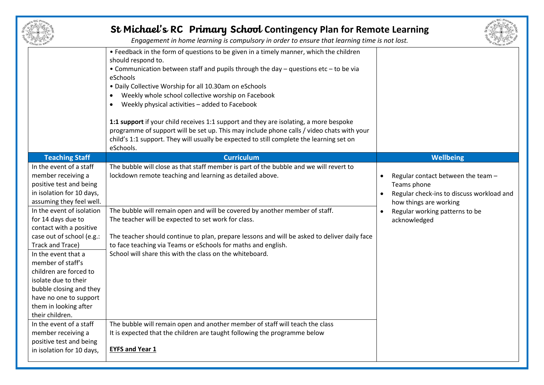|                                                                                                                                                                                                                                                                                                                                                                                                                                                                 | St Michael's RC Primary School Contingency Plan for Remote Learning<br>Engagement in home learning is compulsory in order to ensure that learning time is not lost.                                                                                                                                                                                                                                                                                                                                                                                                                                                                                                                         |                                                                                                                                                                                                                   |
|-----------------------------------------------------------------------------------------------------------------------------------------------------------------------------------------------------------------------------------------------------------------------------------------------------------------------------------------------------------------------------------------------------------------------------------------------------------------|---------------------------------------------------------------------------------------------------------------------------------------------------------------------------------------------------------------------------------------------------------------------------------------------------------------------------------------------------------------------------------------------------------------------------------------------------------------------------------------------------------------------------------------------------------------------------------------------------------------------------------------------------------------------------------------------|-------------------------------------------------------------------------------------------------------------------------------------------------------------------------------------------------------------------|
|                                                                                                                                                                                                                                                                                                                                                                                                                                                                 | • Feedback in the form of questions to be given in a timely manner, which the children<br>should respond to.<br>• Communication between staff and pupils through the day – questions etc – to be via<br>eSchools<br>• Daily Collective Worship for all 10.30am on eSchools<br>Weekly whole school collective worship on Facebook<br>٠<br>Weekly physical activities - added to Facebook<br>٠<br>1:1 support if your child receives 1:1 support and they are isolating, a more bespoke<br>programme of support will be set up. This may include phone calls / video chats with your<br>child's 1:1 support. They will usually be expected to still complete the learning set on<br>eSchools. |                                                                                                                                                                                                                   |
| <b>Teaching Staff</b>                                                                                                                                                                                                                                                                                                                                                                                                                                           | <b>Curriculum</b>                                                                                                                                                                                                                                                                                                                                                                                                                                                                                                                                                                                                                                                                           | Wellbeing                                                                                                                                                                                                         |
| In the event of a staff<br>member receiving a<br>positive test and being<br>in isolation for 10 days,<br>assuming they feel well.<br>In the event of isolation<br>for 14 days due to<br>contact with a positive<br>case out of school (e.g.:<br>Track and Trace)<br>In the event that a<br>member of staff's<br>children are forced to<br>isolate due to their<br>bubble closing and they<br>have no one to support<br>them in looking after<br>their children. | The bubble will close as that staff member is part of the bubble and we will revert to<br>lockdown remote teaching and learning as detailed above.<br>The bubble will remain open and will be covered by another member of staff.<br>The teacher will be expected to set work for class.<br>The teacher should continue to plan, prepare lessons and will be asked to deliver daily face<br>to face teaching via Teams or eSchools for maths and english.<br>School will share this with the class on the whiteboard.                                                                                                                                                                       | Regular contact between the team -<br>$\bullet$<br>Teams phone<br>Regular check-ins to discuss workload and<br>$\bullet$<br>how things are working<br>Regular working patterns to be<br>$\bullet$<br>acknowledged |
| In the event of a staff<br>member receiving a<br>positive test and being<br>in isolation for 10 days,                                                                                                                                                                                                                                                                                                                                                           | The bubble will remain open and another member of staff will teach the class<br>It is expected that the children are taught following the programme below<br><b>EYFS and Year 1</b>                                                                                                                                                                                                                                                                                                                                                                                                                                                                                                         |                                                                                                                                                                                                                   |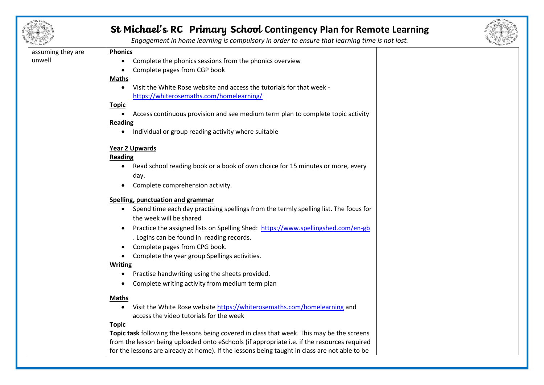



*Engagement in home learning is compulsory in order to ensure that learning time is not lost.*

| assuming they are | <b>Phonics</b>                                                                                                      |  |
|-------------------|---------------------------------------------------------------------------------------------------------------------|--|
| unwell            | Complete the phonics sessions from the phonics overview<br>$\bullet$                                                |  |
|                   | Complete pages from CGP book<br>$\bullet$                                                                           |  |
|                   | <b>Maths</b>                                                                                                        |  |
|                   | Visit the White Rose website and access the tutorials for that week -                                               |  |
|                   | https://whiterosemaths.com/homelearning/                                                                            |  |
|                   | <b>Topic</b>                                                                                                        |  |
|                   | Access continuous provision and see medium term plan to complete topic activity<br>$\bullet$                        |  |
|                   | <b>Reading</b>                                                                                                      |  |
|                   | Individual or group reading activity where suitable<br>$\bullet$                                                    |  |
|                   |                                                                                                                     |  |
|                   | <b>Year 2 Upwards</b>                                                                                               |  |
|                   | <b>Reading</b>                                                                                                      |  |
|                   | Read school reading book or a book of own choice for 15 minutes or more, every<br>$\bullet$                         |  |
|                   | day.                                                                                                                |  |
|                   | Complete comprehension activity.                                                                                    |  |
|                   |                                                                                                                     |  |
|                   | Spelling, punctuation and grammar                                                                                   |  |
|                   | Spend time each day practising spellings from the termly spelling list. The focus for<br>$\bullet$                  |  |
|                   | the week will be shared                                                                                             |  |
|                   | Practice the assigned lists on Spelling Shed: https://www.spellingshed.com/en-gb<br>$\bullet$                       |  |
|                   | . Logins can be found in reading records.                                                                           |  |
|                   | Complete pages from CPG book.<br>$\bullet$                                                                          |  |
|                   | • Complete the year group Spellings activities.                                                                     |  |
|                   | <b>Writing</b>                                                                                                      |  |
|                   | Practise handwriting using the sheets provided.<br>$\bullet$                                                        |  |
|                   | Complete writing activity from medium term plan                                                                     |  |
|                   |                                                                                                                     |  |
|                   | <b>Maths</b>                                                                                                        |  |
|                   | Visit the White Rose website https://whiterosemaths.com/homelearning and<br>access the video tutorials for the week |  |
|                   | <b>Topic</b>                                                                                                        |  |
|                   | Topic task following the lessons being covered in class that week. This may be the screens                          |  |
|                   | from the lesson being uploaded onto eSchools (if appropriate i.e. if the resources required                         |  |
|                   |                                                                                                                     |  |
|                   | for the lessons are already at home). If the lessons being taught in class are not able to be                       |  |